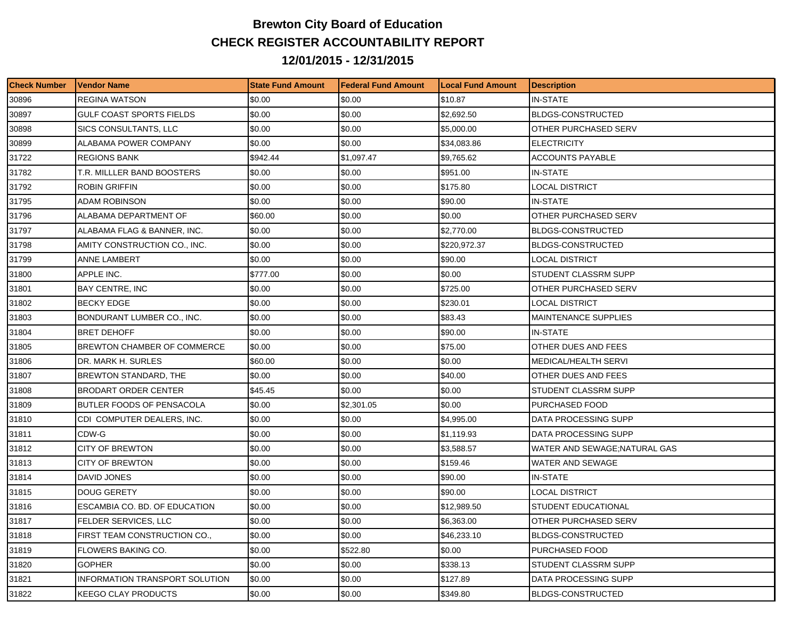## **Brewton City Board of Education CHECK REGISTER ACCOUNTABILITY REPORT 12/01/2015 - 12/31/2015**

| <b>Check Number</b> | Vendor Name                      | <b>State Fund Amount</b> | Federal Fund Amount | <b>Local Fund Amount</b> | <b>Description</b>            |
|---------------------|----------------------------------|--------------------------|---------------------|--------------------------|-------------------------------|
| 30896               | REGINA WATSON                    | \$0.00                   | \$0.00              | \$10.87                  | IN-STATE                      |
| 30897               | GULF COAST SPORTS FIELDS         | \$0.00                   | \$0.00              | \$2,692.50               | <b>BLDGS-CONSTRUCTED</b>      |
| 30898               | SICS CONSULTANTS, LLC            | \$0.00                   | \$0.00              | \$5,000.00               | OTHER PURCHASED SERV          |
| 30899               | ALABAMA POWER COMPANY            | \$0.00                   | \$0.00              | \$34,083.86              | <b>ELECTRICITY</b>            |
| 31722               | <b>REGIONS BANK</b>              | \$942.44                 | \$1,097.47          | \$9,765.62               | ACCOUNTS PAYABLE              |
| 31782               | T.R. MILLLER BAND BOOSTERS       | \$0.00                   | \$0.00              | \$951.00                 | <b>IN-STATE</b>               |
| 31792               | <b>ROBIN GRIFFIN</b>             | \$0.00                   | \$0.00              | \$175.80                 | LOCAL DISTRICT                |
| 31795               | <b>ADAM ROBINSON</b>             | \$0.00                   | \$0.00              | \$90.00                  | IN-STATE                      |
| 31796               | ALABAMA DEPARTMENT OF            | \$60.00                  | \$0.00              | \$0.00                   | OTHER PURCHASED SERV          |
| 31797               | ALABAMA FLAG & BANNER, INC.      | \$0.00                   | \$0.00              | \$2,770.00               | <b>BLDGS-CONSTRUCTED</b>      |
| 31798               | AMITY CONSTRUCTION CO., INC.     | \$0.00                   | \$0.00              | \$220,972.37             | <b>BLDGS-CONSTRUCTED</b>      |
| 31799               | ANNE LAMBERT                     | \$0.00                   | \$0.00              | \$90.00                  | LOCAL DISTRICT                |
| 31800               | APPLE INC.                       | \$777.00                 | \$0.00              | \$0.00                   | STUDENT CLASSRM SUPP          |
| 31801               | <b>BAY CENTRE, INC</b>           | \$0.00                   | \$0.00              | \$725.00                 | OTHER PURCHASED SERV          |
| 31802               | <b>BECKY EDGE</b>                | \$0.00                   | \$0.00              | \$230.01                 | LOCAL DISTRICT                |
| 31803               | BONDURANT LUMBER CO., INC.       | \$0.00                   | \$0.00              | \$83.43                  | <b>MAINTENANCE SUPPLIES</b>   |
| 31804               | <b>BRET DEHOFF</b>               | \$0.00                   | \$0.00              | \$90.00                  | <b>IN-STATE</b>               |
| 31805               | BREWTON CHAMBER OF COMMERCE      | \$0.00                   | \$0.00              | \$75.00                  | OTHER DUES AND FEES           |
| 31806               | DR. MARK H. SURLES               | \$60.00                  | \$0.00              | \$0.00                   | MEDICAL/HEALTH SERVI          |
| 31807               | <b>BREWTON STANDARD, THE</b>     | \$0.00                   | \$0.00              | \$40.00                  | OTHER DUES AND FEES           |
| 31808               | <b>BRODART ORDER CENTER</b>      | \$45.45                  | \$0.00              | \$0.00                   | STUDENT CLASSRM SUPP          |
| 31809               | <b>BUTLER FOODS OF PENSACOLA</b> | \$0.00                   | \$2,301.05          | \$0.00                   | PURCHASED FOOD                |
| 31810               | CDI COMPUTER DEALERS, INC.       | \$0.00                   | \$0.00              | \$4,995.00               | DATA PROCESSING SUPP          |
| 31811               | CDW-G                            | \$0.00                   | \$0.00              | \$1,119.93               | DATA PROCESSING SUPP          |
| 31812               | <b>CITY OF BREWTON</b>           | \$0.00                   | \$0.00              | \$3,588.57               | WATER AND SEWAGE; NATURAL GAS |
| 31813               | CITY OF BREWTON                  | \$0.00                   | \$0.00              | \$159.46                 | <b>WATER AND SEWAGE</b>       |
| 31814               | DAVID JONES                      | \$0.00                   | \$0.00              | \$90.00                  | IN-STATE                      |
| 31815               | <b>DOUG GERETY</b>               | \$0.00                   | \$0.00              | \$90.00                  | LOCAL DISTRICT                |
| 31816               | ESCAMBIA CO. BD. OF EDUCATION    | \$0.00                   | \$0.00              | \$12,989.50              | STUDENT EDUCATIONAL           |
| 31817               | FELDER SERVICES, LLC             | \$0.00                   | \$0.00              | \$6,363.00               | OTHER PURCHASED SERV          |
| 31818               | FIRST TEAM CONSTRUCTION CO.,     | \$0.00                   | \$0.00              | \$46,233.10              | <b>BLDGS-CONSTRUCTED</b>      |
| 31819               | FLOWERS BAKING CO.               | \$0.00                   | \$522.80            | \$0.00                   | PURCHASED FOOD                |
| 31820               | <b>GOPHER</b>                    | \$0.00                   | \$0.00              | \$338.13                 | STUDENT CLASSRM SUPP          |
| 31821               | INFORMATION TRANSPORT SOLUTION   | \$0.00                   | \$0.00              | \$127.89                 | DATA PROCESSING SUPP          |
| 31822               | <b>KEEGO CLAY PRODUCTS</b>       | \$0.00                   | \$0.00              | \$349.80                 | <b>BLDGS-CONSTRUCTED</b>      |